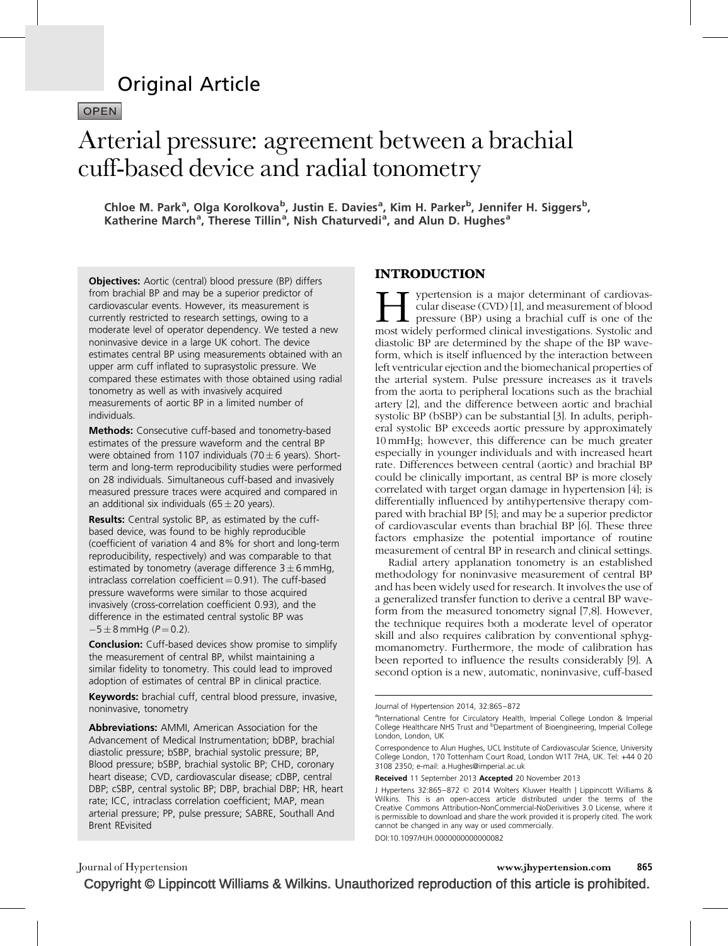# Original Article

**OPEN** 

# Arterial pressure: agreement between a brachial cuff-based device and radial tonometry

Chloe M. Park<sup>a</sup>, Olga Korolkova<sup>b</sup>, Justin E. Davies<sup>a</sup>, Kim H. Parker<sup>b</sup>, Jennifer H. Siggers<sup>b</sup>, Katherine March<sup>a</sup>, Therese Tillin<sup>a</sup>, Nish Chaturvedi<sup>a</sup>, and Alun D. Hughes<sup>a</sup>

**Objectives:** Aortic (central) blood pressure (BP) differs from brachial BP and may be a superior predictor of cardiovascular events. However, its measurement is currently restricted to research settings, owing to a moderate level of operator dependency. We tested a new noninvasive device in a large UK cohort. The device estimates central BP using measurements obtained with an upper arm cuff inflated to suprasystolic pressure. We compared these estimates with those obtained using radial tonometry as well as with invasively acquired measurements of aortic BP in a limited number of individuals.

Methods: Consecutive cuff-based and tonometry-based estimates of the pressure waveform and the central BP were obtained from 1107 individuals (70  $\pm$  6 years). Shortterm and long-term reproducibility studies were performed on 28 individuals. Simultaneous cuff-based and invasively measured pressure traces were acquired and compared in an additional six individuals (65  $\pm$  20 years).

Results: Central systolic BP, as estimated by the cuffbased device, was found to be highly reproducible (coefficient of variation 4 and 8% for short and long-term reproducibility, respectively) and was comparable to that estimated by tonometry (average difference  $3 \pm 6$  mmHg, intraclass correlation coefficient  $= 0.91$ ). The cuff-based pressure waveforms were similar to those acquired invasively (cross-correlation coefficient 0.93), and the difference in the estimated central systolic BP was  $-5 \pm 8$  mmHg ( $P = 0.2$ ).

**Conclusion:** Cuff-based devices show promise to simplify the measurement of central BP, whilst maintaining a similar fidelity to tonometry. This could lead to improved adoption of estimates of central BP in clinical practice.

Keywords: brachial cuff, central blood pressure, invasive, noninvasive, tonometry

Abbreviations: AMMI, American Association for the Advancement of Medical Instrumentation; bDBP, brachial diastolic pressure; bSBP, brachial systolic pressure; BP, Blood pressure; bSBP, brachial systolic BP; CHD, coronary heart disease; CVD, cardiovascular disease; cDBP, central DBP; cSBP, central systolic BP; DBP, brachial DBP; HR, heart rate; ICC, intraclass correlation coefficient; MAP, mean arterial pressure; PP, pulse pressure; SABRE, Southall And Brent REvisited

## INTRODUCTION

ypertension is a major determinant of cardiovascular disease (CVD) [1], and measurement of blood  $\mathsf{L}$  pressure (BP) using a brachial cuff is one of the most widely performed clinical investigations. Systolic and diastolic BP are determined by the shape of the BP waveform, which is itself influenced by the interaction between left ventricular ejection and the biomechanical properties of the arterial system. Pulse pressure increases as it travels from the aorta to peripheral locations such as the brachial artery [\[2\]](#page-6-0), and the difference between aortic and brachial systolic BP (bSBP) can be substantial [\[3\]](#page-6-0). In adults, peripheral systolic BP exceeds aortic pressure by approximately 10 mmHg; however, this difference can be much greater especially in younger individuals and with increased heart rate. Differences between central (aortic) and brachial BP could be clinically important, as central BP is more closely correlated with target organ damage in hypertension [\[4\];](#page-6-0) is differentially influenced by antihypertensive therapy compared with brachial BP [\[5\]](#page-6-0); and may be a superior predictor of cardiovascular events than brachial BP [\[6\]](#page-6-0). These three factors emphasize the potential importance of routine measurement of central BP in research and clinical settings.

Radial artery applanation tonometry is an established methodology for noninvasive measurement of central BP and has been widely used for research. It involves the use of a generalized transfer function to derive a central BP waveform from the measured tonometry signal [\[7,8\]](#page-6-0). However, the technique requires both a moderate level of operator skill and also requires calibration by conventional sphygmomanometry. Furthermore, the mode of calibration has been reported to influence the results considerably [\[9\]](#page-7-0). A second option is a new, automatic, noninvasive, cuff-based

DOI:10.1097/HJH.0000000000000082

Journal of Hypertension 2014, 32:865–872

<sup>&</sup>lt;sup>a</sup>International Centre for Circulatory Health, Imperial College London & Imperial<br>College Healthcare NHS Trust and <sup>b</sup>Department of Bioengineering, Imperial College London, London, UK

Correspondence to Alun Hughes, UCL Institute of Cardiovascular Science, University College London, 170 Tottenham Court Road, London W1T 7HA, UK. Tel: +44 0 20 3108 2350; e-mail: [a.Hughes@imperial.ac.uk](mailto:a.Hughes@imperial.ac.uk)

Received 11 September 2013 Accepted 20 November 2013

J Hypertens 32:865–872 © 2014 Wolters Kluwer Health | Lippincott Williams & Wilkins. This is an open-access article distributed under the terms of the Creative Commons Attribution-NonCommercial-NoDerivitives 3.0 License, where it is permissible to download and share the work provided it is properly cited. The work cannot be changed in any way or used commercially.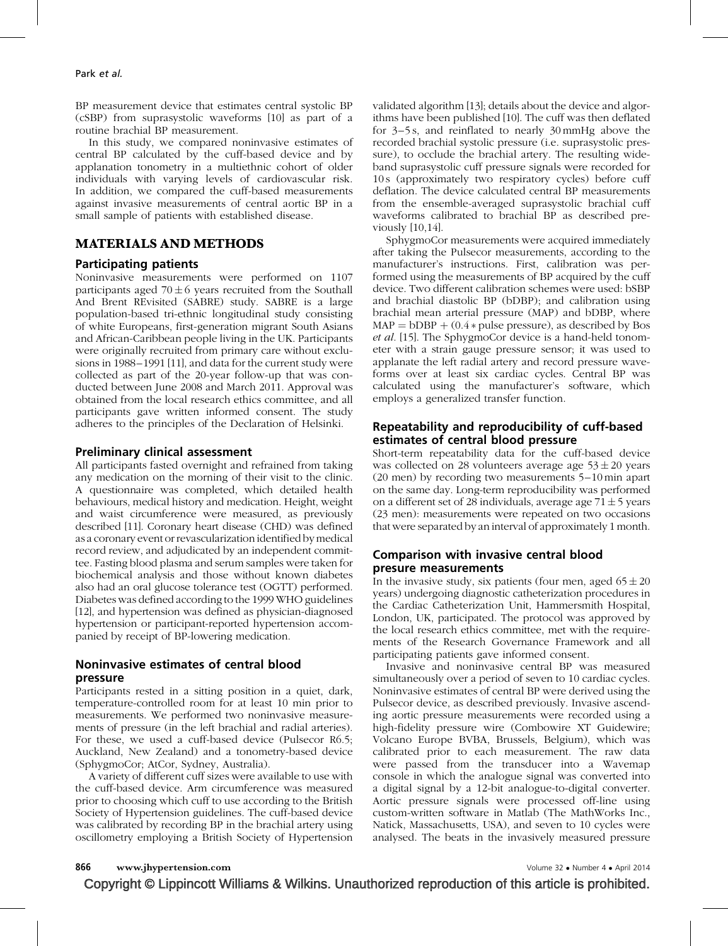BP measurement device that estimates central systolic BP (cSBP) from suprasystolic waveforms [\[10\]](#page-7-0) as part of a routine brachial BP measurement.

In this study, we compared noninvasive estimates of central BP calculated by the cuff-based device and by applanation tonometry in a multiethnic cohort of older individuals with varying levels of cardiovascular risk. In addition, we compared the cuff-based measurements against invasive measurements of central aortic BP in a small sample of patients with established disease.

## MATERIALS AND METHODS

## Participating patients

Noninvasive measurements were performed on 1107 participants aged  $70 \pm 6$  years recruited from the Southall And Brent REvisited (SABRE) study. SABRE is a large population-based tri-ethnic longitudinal study consisting of white Europeans, first-generation migrant South Asians and African-Caribbean people living in the UK. Participants were originally recruited from primary care without exclusions in 1988–1991 [\[11\],](#page-7-0) and data for the current study were collected as part of the 20-year follow-up that was conducted between June 2008 and March 2011. Approval was obtained from the local research ethics committee, and all participants gave written informed consent. The study adheres to the principles of the Declaration of Helsinki.

## Preliminary clinical assessment

All participants fasted overnight and refrained from taking any medication on the morning of their visit to the clinic. A questionnaire was completed, which detailed health behaviours, medical history and medication. Height, weight and waist circumference were measured, as previously described [\[11\].](#page-7-0) Coronary heart disease (CHD) was defined as a coronary event or revascularization identified by medical record review, and adjudicated by an independent committee. Fasting blood plasma and serum samples were taken for biochemical analysis and those without known diabetes also had an oral glucose tolerance test (OGTT) performed. Diabetes was defined according to the 1999 WHO guidelines [\[12\]](#page-7-0), and hypertension was defined as physician-diagnosed hypertension or participant-reported hypertension accompanied by receipt of BP-lowering medication.

## Noninvasive estimates of central blood pressure

Participants rested in a sitting position in a quiet, dark, temperature-controlled room for at least 10 min prior to measurements. We performed two noninvasive measurements of pressure (in the left brachial and radial arteries). For these, we used a cuff-based device (Pulsecor R6.5; Auckland, New Zealand) and a tonometry-based device (SphygmoCor; AtCor, Sydney, Australia).

A variety of different cuff sizes were available to use with the cuff-based device. Arm circumference was measured prior to choosing which cuff to use according to the British Society of Hypertension guidelines. The cuff-based device was calibrated by recording BP in the brachial artery using oscillometry employing a British Society of Hypertension validated algorithm [\[13\]](#page-7-0); details about the device and algorithms have been published [\[10\]](#page-7-0). The cuff was then deflated for 3–5 s, and reinflated to nearly 30 mmHg above the recorded brachial systolic pressure (i.e. suprasystolic pressure), to occlude the brachial artery. The resulting wideband suprasystolic cuff pressure signals were recorded for 10 s (approximately two respiratory cycles) before cuff deflation. The device calculated central BP measurements from the ensemble-averaged suprasystolic brachial cuff waveforms calibrated to brachial BP as described previously [\[10,14\]](#page-7-0).

SphygmoCor measurements were acquired immediately after taking the Pulsecor measurements, according to the manufacturer's instructions. First, calibration was performed using the measurements of BP acquired by the cuff device. Two different calibration schemes were used: bSBP and brachial diastolic BP (bDBP); and calibration using brachial mean arterial pressure (MAP) and bDBP, where  $MAP = bDBP + (0.4 * pulse pressure)$ , as described by Bos et al. [\[15\]](#page-7-0). The SphygmoCor device is a hand-held tonometer with a strain gauge pressure sensor; it was used to applanate the left radial artery and record pressure waveforms over at least six cardiac cycles. Central BP was calculated using the manufacturer's software, which employs a generalized transfer function.

## Repeatability and reproducibility of cuff-based estimates of central blood pressure

Short-term repeatability data for the cuff-based device was collected on 28 volunteers average age  $53 \pm 20$  years (20 men) by recording two measurements 5–10 min apart on the same day. Long-term reproducibility was performed on a different set of 28 individuals, average age  $71 \pm 5$  years (23 men): measurements were repeated on two occasions that were separated by an interval of approximately 1 month.

## Comparison with invasive central blood presure measurements

In the invasive study, six patients (four men, aged  $65 \pm 20$ years) undergoing diagnostic catheterization procedures in the Cardiac Catheterization Unit, Hammersmith Hospital, London, UK, participated. The protocol was approved by the local research ethics committee, met with the requirements of the Research Governance Framework and all participating patients gave informed consent.

Invasive and noninvasive central BP was measured simultaneously over a period of seven to 10 cardiac cycles. Noninvasive estimates of central BP were derived using the Pulsecor device, as described previously. Invasive ascending aortic pressure measurements were recorded using a high-fidelity pressure wire (Combowire XT Guidewire; Volcano Europe BVBA, Brussels, Belgium), which was calibrated prior to each measurement. The raw data were passed from the transducer into a Wavemap console in which the analogue signal was converted into a digital signal by a 12-bit analogue-to-digital converter. Aortic pressure signals were processed off-line using custom-written software in Matlab (The MathWorks Inc., Natick, Massachusetts, USA), and seven to 10 cycles were analysed. The beats in the invasively measured pressure

866 www.jhypertension.com **Volume 32 • Number 4 • April 2014**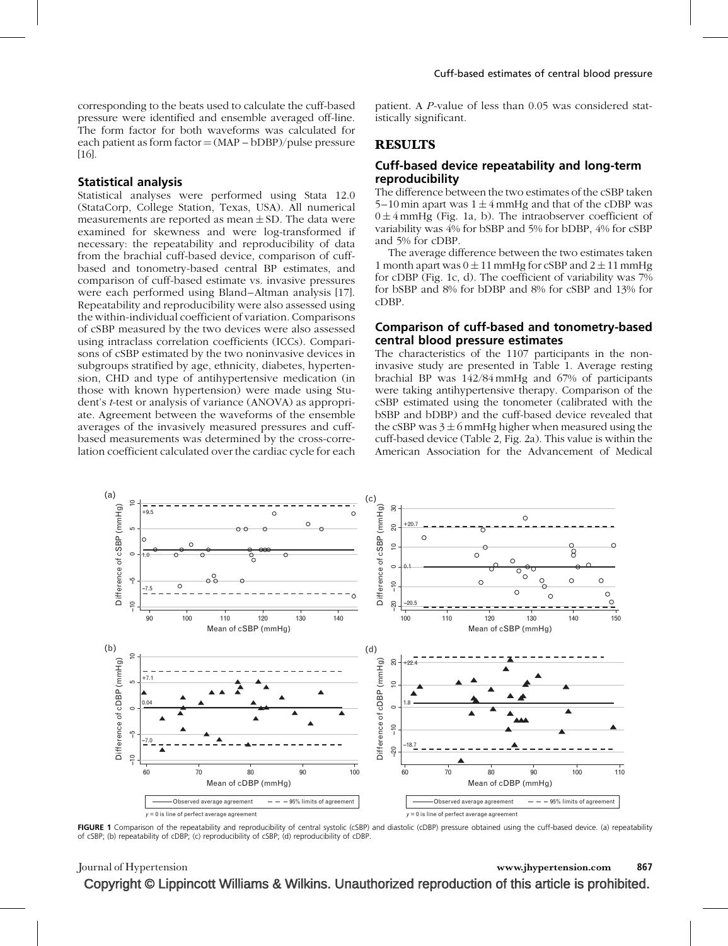corresponding to the beats used to calculate the cuff-based pressure were identified and ensemble averaged off-line. The form factor for both waveforms was calculated for each patient as form factor  $=$  (MAP – bDBP)/pulse pressure [\[16\].](#page-7-0)

#### Statistical analysis

Statistical analyses were performed using Stata 12.0 (StataCorp, College Station, Texas, USA). All numerical measurements are reported as mean  $\pm$  SD. The data were examined for skewness and were log-transformed if necessary: the repeatability and reproducibility of data from the brachial cuff-based device, comparison of cuffbased and tonometry-based central BP estimates, and comparison of cuff-based estimate vs. invasive pressures were each performed using Bland–Altman analysis [\[17\].](#page-7-0) Repeatability and reproducibility were also assessed using the within-individual coefficient of variation. Comparisons of cSBP measured by the two devices were also assessed using intraclass correlation coefficients (ICCs). Comparisons of cSBP estimated by the two noninvasive devices in subgroups stratified by age, ethnicity, diabetes, hypertension, CHD and type of antihypertensive medication (in those with known hypertension) were made using Student's t-test or analysis of variance (ANOVA) as appropriate. Agreement between the waveforms of the ensemble averages of the invasively measured pressures and cuffbased measurements was determined by the cross-correlation coefficient calculated over the cardiac cycle for each

patient. A P-value of less than 0.05 was considered statistically significant.

## RESULTS

### Cuff-based device repeatability and long-term reproducibility

The difference between the two estimates of the cSBP taken 5–10 min apart was  $1 \pm 4$  mmHg and that of the cDBP was  $0 \pm 4$  mmHg (Fig. 1a, b). The intraobserver coefficient of variability was 4% for bSBP and 5% for bDBP, 4% for cSBP and 5% for cDBP.

The average difference between the two estimates taken 1 month apart was  $0 \pm 11$  mmHg for cSBP and  $2 \pm 11$  mmHg for cDBP (Fig. 1c, d). The coefficient of variability was 7% for bSBP and 8% for bDBP and 8% for cSBP and 13% for cDBP.

## Comparison of cuff-based and tonometry-based central blood pressure estimates

The characteristics of the 1107 participants in the noninvasive study are presented in Table 1. Average resting brachial BP was 142/84 mmHg and 67% of participants were taking antihypertensive therapy. Comparison of the cSBP estimated using the tonometer (calibrated with the bSBP and bDBP) and the cuff-based device revealed that the cSBP was  $3 \pm 6$  mmHg higher when measured using the cuff-based device (Table 2, Fig. 2a). This value is within the American Association for the Advancement of Medical



FIGURE 1 Comparison of the repeatability and reproducibility of central systolic (cSBP) and diastolic (cDBP) pressure obtained using the cuff-based device. (a) repeatability of cSBP; (b) repeatability of cDBP; (c) reproducibility of cSBP; (d) reproducibility of cDBP.

Journal of Hypertension www.jhypertension.com 867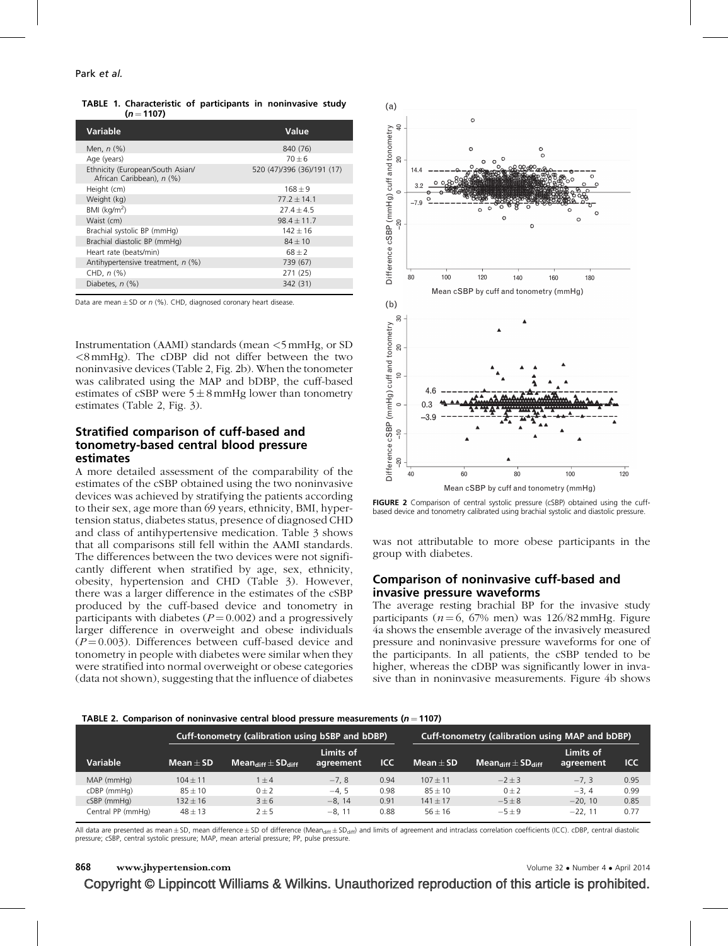TABLE 1. Characteristic of participants in noninvasive study  $(n = 1107)$ 

| Value                      |
|----------------------------|
| 840 (76)                   |
| $70 + 6$                   |
| 520 (47)/396 (36)/191 (17) |
| $168 + 9$                  |
| $77.2 + 14.1$              |
| $27.4 + 4.5$               |
| $98.4 + 11.7$              |
| $142 + 16$                 |
| $84 + 10$                  |
| $68 + 2$                   |
| 739 (67)                   |
| 271 (25)                   |
| 342 (31)                   |
|                            |

Data are mean  $+$  SD or n (%). CHD, diagnosed coronary heart disease.

Instrumentation (AAMI) standards (mean <5 mmHg, or SD <8 mmHg). The cDBP did not differ between the two noninvasive devices (Table 2, Fig. 2b). When the tonometer was calibrated using the MAP and bDBP, the cuff-based estimates of cSBP were  $5 \pm 8$  mmHg lower than tonometry estimates (Table 2, Fig. 3).

## Stratified comparison of cuff-based and tonometry-based central blood pressure estimates

A more detailed assessment of the comparability of the estimates of the cSBP obtained using the two noninvasive devices was achieved by stratifying the patients according to their sex, age more than 69 years, ethnicity, BMI, hypertension status, diabetes status, presence of diagnosed CHD and class of antihypertensive medication. Table 3 shows that all comparisons still fell within the AAMI standards. The differences between the two devices were not significantly different when stratified by age, sex, ethnicity, obesity, hypertension and CHD (Table 3). However, there was a larger difference in the estimates of the cSBP produced by the cuff-based device and tonometry in participants with diabetes  $(P = 0.002)$  and a progressively larger difference in overweight and obese individuals  $(P = 0.003)$ . Differences between cuff-based device and tonometry in people with diabetes were similar when they were stratified into normal overweight or obese categories (data not shown), suggesting that the influence of diabetes



FIGURE 2 Comparison of central systolic pressure (cSBP) obtained using the cuffbased device and tonometry calibrated using brachial systolic and diastolic pressure.

was not attributable to more obese participants in the group with diabetes.

## Comparison of noninvasive cuff-based and invasive pressure waveforms

The average resting brachial BP for the invasive study participants ( $n = 6$ , 67% men) was 126/82 mmHg. Figure 4a shows the ensemble average of the invasively measured pressure and noninvasive pressure waveforms for one of the participants. In all patients, the cSBP tended to be higher, whereas the cDBP was significantly lower in invasive than in noninvasive measurements. Figure 4b shows

#### TABLE 2. Comparison of noninvasive central blood pressure measurements ( $n = 1107$ )

|                   | Cuff-tonometry (calibration using bSBP and bDBP) |                                                                                   |                        |      |                     | Cuff-tonometry (calibration using MAP and bDBP) |                        |            |
|-------------------|--------------------------------------------------|-----------------------------------------------------------------------------------|------------------------|------|---------------------|-------------------------------------------------|------------------------|------------|
| <b>Variable</b>   | Mean $\pm$ SD                                    | $\blacksquare$ Mean $_{\mathsf{diff}}$ $\pm$ SD $_{\mathsf{diff}}$ $\blacksquare$ | Limits of<br>agreement | ICC  | Mean $\pm$ SD $\pm$ | $Mean_{diff} \pm SD_{diff}$                     | Limits of<br>agreement | <b>ICC</b> |
| MAP (mmHg)        | $104 + 11$                                       | $1 + 4$                                                                           | $-7.8$                 | 0.94 | $107 + 11$          | $-2+3$                                          | $-7.3$                 | 0.95       |
| cDBP (mmHg)       | $85 \pm 10$                                      | $0 + 2$                                                                           | $-4.5$                 | 0.98 | $85 + 10$           | $0 + 2$                                         | $-3.4$                 | 0.99       |
| cSBP (mmHg)       | $132 + 16$                                       | $3 + 6$                                                                           | $-8.14$                | 0.91 | $141 + 17$          | $-5+8$                                          | $-20.10$               | 0.85       |
| Central PP (mmHg) | $48 \pm 13$                                      | $2 \pm 5$                                                                         | $-8.11$                | 0.88 | $56 + 16$           | $-5+9$                                          | $-22.11$               | 0.77       |

All data are presented as mean  $\pm$  SD, mean difference  $\pm$  SD of difference (Mean<sub>diff</sub>  $\pm$  SD<sub>diff</sub>) and limits of agreement and intraclass correlation coefficients (ICC). cDBP, central diastolic pressure; cSBP, central systolic pressure; MAP, mean arterial pressure; PP, pulse pressure.

#### 868 www.jhypertension.com **Volume 32 • Number 4 • April 2014**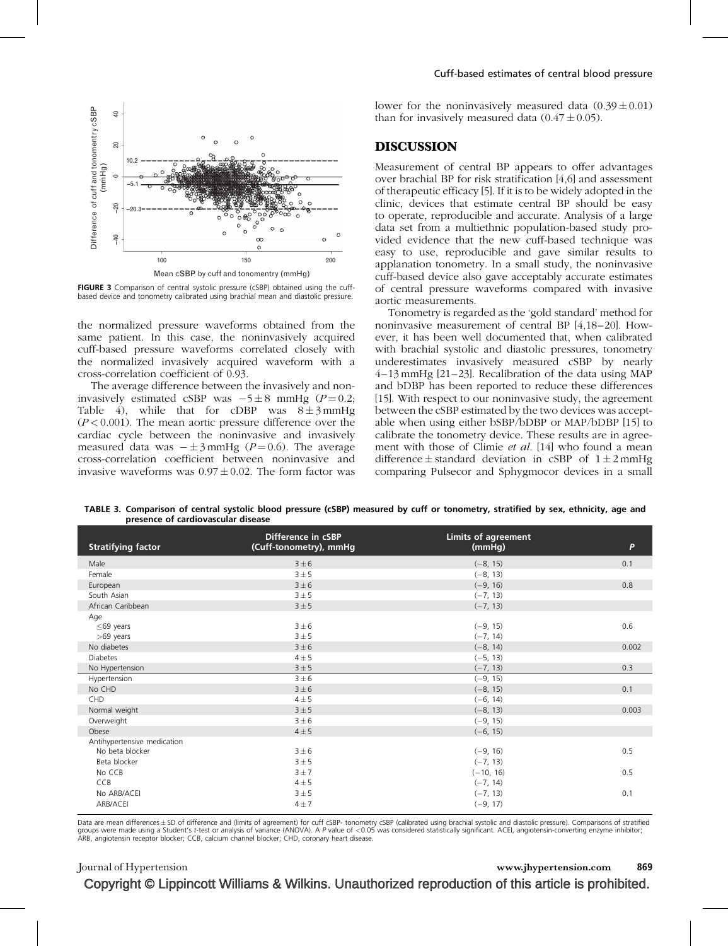

FIGURE 3 Comparison of central systolic pressure (cSBP) obtained using the cuffbased device and tonometry calibrated using brachial mean and diastolic pressure.

the normalized pressure waveforms obtained from the same patient. In this case, the noninvasively acquired cuff-based pressure waveforms correlated closely with the normalized invasively acquired waveform with a cross-correlation coefficient of 0.93.

The average difference between the invasively and noninvasively estimated cSBP was  $-5 \pm 8$  mmHg ( $P = 0.2$ ; Table 4), while that for cDBP was  $8 \pm 3$  mmHg  $(P<0.001)$ . The mean aortic pressure difference over the cardiac cycle between the noninvasive and invasively measured data was  $-\pm 3$  mmHg (P = 0.6). The average cross-correlation coefficient between noninvasive and invasive waveforms was  $0.97 \pm 0.02$ . The form factor was

lower for the noninvasively measured data  $(0.39 \pm 0.01)$ than for invasively measured data  $(0.47 \pm 0.05)$ .

#### DISCUSSION

Measurement of central BP appears to offer advantages over brachial BP for risk stratification [\[4,6\]](#page-6-0) and assessment of therapeutic efficacy [\[5\].](#page-6-0) If it is to be widely adopted in the clinic, devices that estimate central BP should be easy to operate, reproducible and accurate. Analysis of a large data set from a multiethnic population-based study provided evidence that the new cuff-based technique was easy to use, reproducible and gave similar results to applanation tonometry. In a small study, the noninvasive cuff-based device also gave acceptably accurate estimates of central pressure waveforms compared with invasive aortic measurements.

Tonometry is regarded as the 'gold standard' method for noninvasive measurement of central BP [\[4,18–20\]](#page-6-0). However, it has been well documented that, when calibrated with brachial systolic and diastolic pressures, tonometry underestimates invasively measured cSBP by nearly 4–13 mmHg [\[21–23\].](#page-7-0) Recalibration of the data using MAP and bDBP has been reported to reduce these differences [\[15\]](#page-7-0). With respect to our noninvasive study, the agreement between the cSBP estimated by the two devices was acceptable when using either bSBP/bDBP or MAP/bDBP [\[15\]](#page-7-0) to calibrate the tonometry device. These results are in agreement with those of Climie et al. [\[14\]](#page-7-0) who found a mean difference  $\pm$  standard deviation in cSBP of  $1 \pm 2$  mmHg comparing Pulsecor and Sphygmocor devices in a small

TABLE 3. Comparison of central systolic blood pressure (cSBP) measured by cuff or tonometry, stratified by sex, ethnicity, age and presence of cardiovascular disease

| <b>Stratifying factor</b>   | Difference in cSBP<br>(Cuff-tonometry), mmHg | <b>Limits of agreement</b><br>(mmHg) | P     |
|-----------------------------|----------------------------------------------|--------------------------------------|-------|
| Male                        | $3 \pm 6$                                    | $(-8, 15)$                           | 0.1   |
| Female                      | 3 ± 5                                        | $(-8, 13)$                           |       |
| European                    | $3 \pm 6$                                    | $(-9, 16)$                           | 0.8   |
| South Asian                 | 3 ± 5                                        | $(-7, 13)$                           |       |
| African Caribbean           | 3 ± 5                                        | $(-7, 13)$                           |       |
| Age                         |                                              |                                      |       |
| $\leq$ 69 years             | $3 \pm 6$                                    | $(-9, 15)$                           | 0.6   |
| $>69$ years                 | 3 ± 5                                        | $(-7, 14)$                           |       |
| No diabetes                 | $3 \pm 6$                                    | $(-8, 14)$                           | 0.002 |
| <b>Diabetes</b>             | $4 \pm 5$                                    | $(-5, 13)$                           |       |
| No Hypertension             | 3 ± 5                                        | $(-7, 13)$                           | 0.3   |
| Hypertension                | $3 \pm 6$                                    | $(-9, 15)$                           |       |
| No CHD                      | $3 \pm 6$                                    | $(-8, 15)$                           | 0.1   |
| CHD                         | $4 \pm 5$                                    | $(-6, 14)$                           |       |
| Normal weight               | 3 ± 5                                        | $(-8, 13)$                           | 0.003 |
| Overweight                  | $3 \pm 6$                                    | $(-9, 15)$                           |       |
| Obese                       | $4 \pm 5$                                    | $(-6, 15)$                           |       |
| Antihypertensive medication |                                              |                                      |       |
| No beta blocker             | $3 \pm 6$                                    | $(-9, 16)$                           | 0.5   |
| Beta blocker                | 3 ± 5                                        | $(-7, 13)$                           |       |
| No CCB                      | 3±7                                          | $(-10, 16)$                          | 0.5   |
| CCB                         | $4 \pm 5$                                    | $(-7, 14)$                           |       |
| No ARB/ACEI                 | 3 ± 5                                        | $(-7, 13)$                           | 0.1   |
| ARB/ACEI                    | $4 \pm 7$                                    | $(-9, 17)$                           |       |

Data are mean differences±SD of difference and (limits of agreement) for cuff cSBP- tonometry cSBP (calibrated using brachial systolic and diastolic pressure). Comparisons of stratified<br>groups were made using a Student's t ARB, angiotensin receptor blocker; CCB, calcium channel blocker; CHD, coronary heart disease.

## Copyright © Lippincott Williams & Wilkins. Unauthorized reproduction of this article is prohibited. Journal of Hypertension www.jhypertension.com 869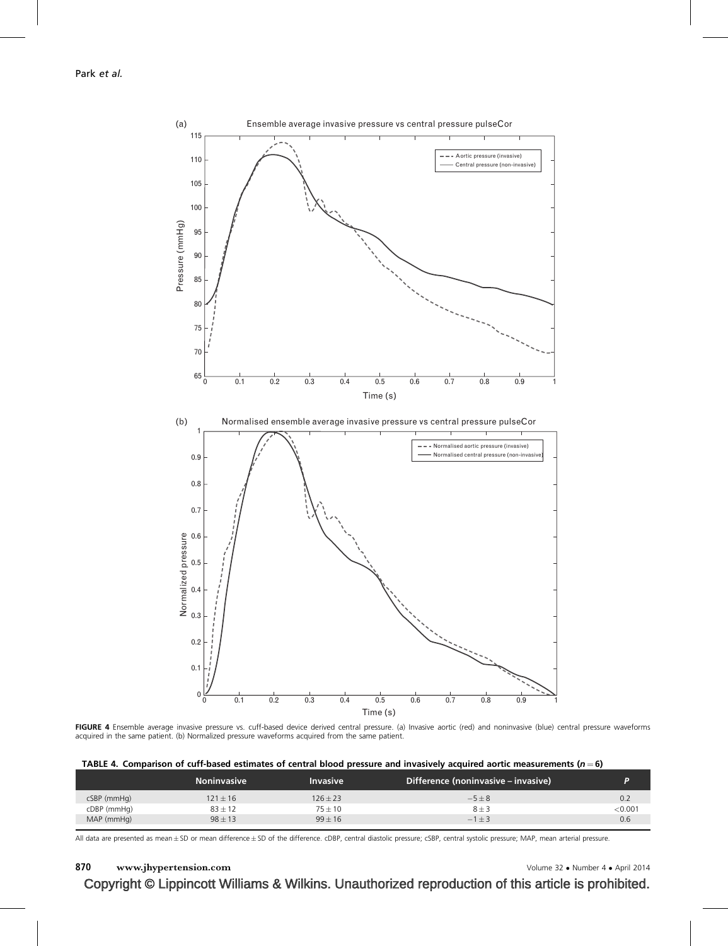

FIGURE 4 Ensemble average invasive pressure vs. cuff-based device derived central pressure. (a) Invasive aortic (red) and noninvasive (blue) central pressure waveforms acquired in the same patient. (b) Normalized pressure waveforms acquired from the same patient.

|             | <b>Noninvasive</b> | <b>Invasive</b> | Difference (noninvasive – invasive) | Þ       |
|-------------|--------------------|-----------------|-------------------------------------|---------|
| cSBP (mmHg) | $121 \pm 16$       | $126 \pm 23$    | $-5\pm8$                            | 0.2     |
| cDBP (mmHg) | $83 \pm 12$        | $75 + 10$       | $8 \pm 3$                           | < 0.001 |
| MAP (mmHg)  | $98 + 13$          | $99 + 16$       | $-1+3$                              | 0.6     |
|             |                    |                 |                                     |         |

All data are presented as mean ± SD or mean difference ± SD of the difference. cDBP, central diastolic pressure; cSBP, central systolic pressure; MAP, mean arterial pressure.

## 870 www.jhypertension.com Volume 32 · Number 4 · April 2014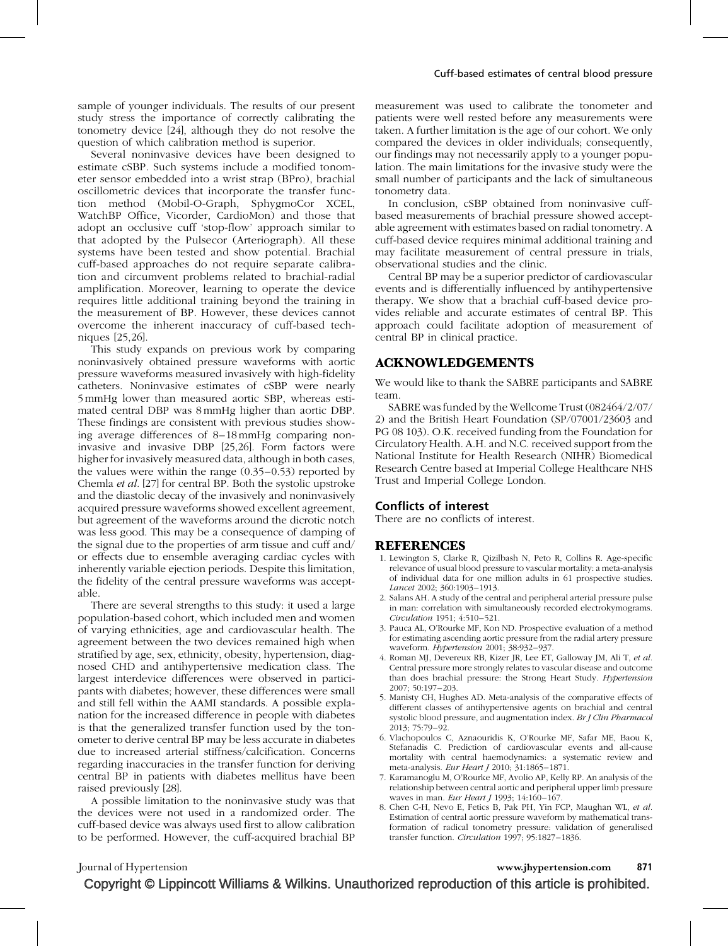<span id="page-6-0"></span>sample of younger individuals. The results of our present study stress the importance of correctly calibrating the tonometry device [\[24\]](#page-7-0), although they do not resolve the question of which calibration method is superior.

Several noninvasive devices have been designed to estimate cSBP. Such systems include a modified tonometer sensor embedded into a wrist strap (BPro), brachial oscillometric devices that incorporate the transfer function method (Mobil-O-Graph, SphygmoCor XCEL, WatchBP Office, Vicorder, CardioMon) and those that adopt an occlusive cuff 'stop-flow' approach similar to that adopted by the Pulsecor (Arteriograph). All these systems have been tested and show potential. Brachial cuff-based approaches do not require separate calibration and circumvent problems related to brachial-radial amplification. Moreover, learning to operate the device requires little additional training beyond the training in the measurement of BP. However, these devices cannot overcome the inherent inaccuracy of cuff-based techniques [\[25,26\].](#page-7-0)

This study expands on previous work by comparing noninvasively obtained pressure waveforms with aortic pressure waveforms measured invasively with high-fidelity catheters. Noninvasive estimates of cSBP were nearly 5 mmHg lower than measured aortic SBP, whereas estimated central DBP was 8 mmHg higher than aortic DBP. These findings are consistent with previous studies showing average differences of 8–18 mmHg comparing noninvasive and invasive DBP [\[25,26\]](#page-7-0). Form factors were higher for invasively measured data, although in both cases, the values were within the range (0.35–0.53) reported by Chemla et al. [\[27\]](#page-7-0) for central BP. Both the systolic upstroke and the diastolic decay of the invasively and noninvasively acquired pressure waveforms showed excellent agreement, but agreement of the waveforms around the dicrotic notch was less good. This may be a consequence of damping of the signal due to the properties of arm tissue and cuff and/ or effects due to ensemble averaging cardiac cycles with inherently variable ejection periods. Despite this limitation, the fidelity of the central pressure waveforms was acceptable.

There are several strengths to this study: it used a large population-based cohort, which included men and women of varying ethnicities, age and cardiovascular health. The agreement between the two devices remained high when stratified by age, sex, ethnicity, obesity, hypertension, diagnosed CHD and antihypertensive medication class. The largest interdevice differences were observed in participants with diabetes; however, these differences were small and still fell within the AAMI standards. A possible explanation for the increased difference in people with diabetes is that the generalized transfer function used by the tonometer to derive central BP may be less accurate in diabetes due to increased arterial stiffness/calcification. Concerns regarding inaccuracies in the transfer function for deriving central BP in patients with diabetes mellitus have been raised previously [\[28\]](#page-7-0).

A possible limitation to the noninvasive study was that the devices were not used in a randomized order. The cuff-based device was always used first to allow calibration to be performed. However, the cuff-acquired brachial BP

measurement was used to calibrate the tonometer and patients were well rested before any measurements were taken. A further limitation is the age of our cohort. We only compared the devices in older individuals; consequently, our findings may not necessarily apply to a younger population. The main limitations for the invasive study were the small number of participants and the lack of simultaneous tonometry data.

In conclusion, cSBP obtained from noninvasive cuffbased measurements of brachial pressure showed acceptable agreement with estimates based on radial tonometry. A cuff-based device requires minimal additional training and may facilitate measurement of central pressure in trials, observational studies and the clinic.

Central BP may be a superior predictor of cardiovascular events and is differentially influenced by antihypertensive therapy. We show that a brachial cuff-based device provides reliable and accurate estimates of central BP. This approach could facilitate adoption of measurement of central BP in clinical practice.

## ACKNOWLEDGEMENTS

We would like to thank the SABRE participants and SABRE team.

SABRE was funded by the Wellcome Trust (082464/2/07/ 2) and the British Heart Foundation (SP/07001/23603 and PG 08 103). O.K. received funding from the Foundation for Circulatory Health. A.H. and N.C. received support from the National Institute for Health Research (NIHR) Biomedical Research Centre based at Imperial College Healthcare NHS Trust and Imperial College London.

### Conflicts of interest

There are no conflicts of interest.

#### REFERENCES

- 1. Lewington S, Clarke R, Qizilbash N, Peto R, Collins R. Age-specific relevance of usual blood pressure to vascular mortality: a meta-analysis of individual data for one million adults in 61 prospective studies. Lancet 2002; 360:1903–1913.
- 2. Salans AH. A study of the central and peripheral arterial pressure pulse in man: correlation with simultaneously recorded electrokymograms. Circulation 1951; 4:510–521.
- 3. Pauca AL, O'Rourke MF, Kon ND. Prospective evaluation of a method for estimating ascending aortic pressure from the radial artery pressure waveform. Hypertension 2001; 38:932–937.
- 4. Roman MJ, Devereux RB, Kizer JR, Lee ET, Galloway JM, Ali T, et al. Central pressure more strongly relates to vascular disease and outcome than does brachial pressure: the Strong Heart Study. Hypertension 2007; 50:197–203.
- 5. Manisty CH, Hughes AD. Meta-analysis of the comparative effects of different classes of antihypertensive agents on brachial and central systolic blood pressure, and augmentation index. Br J Clin Pharmacol 2013; 75:79–92.
- 6. Vlachopoulos C, Aznaouridis K, O'Rourke MF, Safar ME, Baou K, Stefanadis C. Prediction of cardiovascular events and all-cause mortality with central haemodynamics: a systematic review and meta-analysis. Eur Heart J 2010; 31:1865–1871.
- 7. Karamanoglu M, O'Rourke MF, Avolio AP, Kelly RP. An analysis of the relationship between central aortic and peripheral upper limb pressure waves in man. Eur Heart J 1993; 14:160-167.
- 8. Chen C-H, Nevo E, Fetics B, Pak PH, Yin FCP, Maughan WL, et al. Estimation of central aortic pressure waveform by mathematical transformation of radical tonometry pressure: validation of generalised transfer function. Circulation 1997; 95:1827–1836.

Journal of Hypertension www.jhypertension.com 871